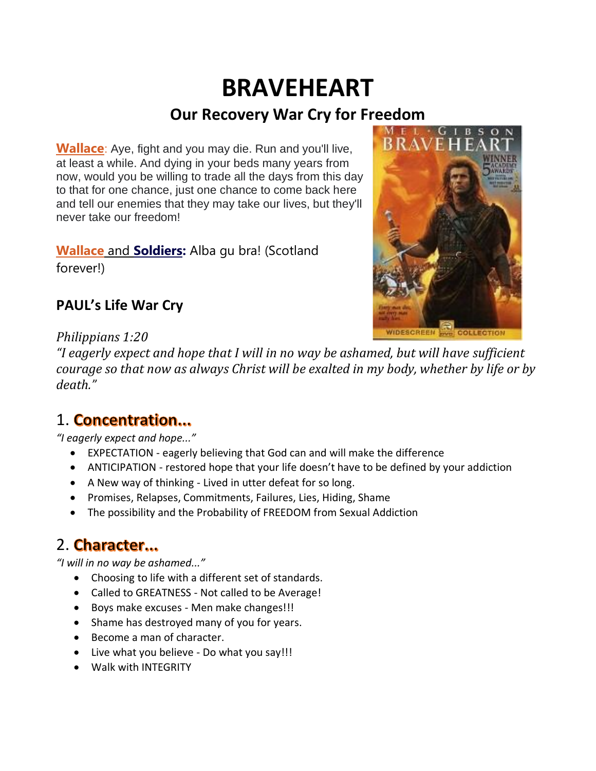# **BRAVEHEART Our Recovery War Cry for Freedom**

**Wallace**: Aye, fight and you may die. Run and you'll live, at least a while. And dying in your beds many years from now, would you be willing to trade all the days from this day to that for one chance, just one chance to come back here and tell our enemies that they may take our lives, but they'll never take our freedom!

**Wallace** and **Soldiers:** Alba gu bra! (Scotland forever!)



#### **PAUL's Life War Cry**

#### *Philippians 1:20*

"I eagerly expect and hope that I will in no way be ashamed, but will have sufficient *courage so that now as always Christ will be exalted in my body, whether by life or by death."*

### 1. Concentration...

*"I eagerly expect and hope..."*

- EXPECTATION eagerly believing that God can and will make the difference
- ANTICIPATION restored hope that your life doesn't have to be defined by your addiction
- A New way of thinking Lived in utter defeat for so long.
- Promises, Relapses, Commitments, Failures, Lies, Hiding, Shame
- The possibility and the Probability of FREEDOM from Sexual Addiction

### 2. Character...

*"I will in no way be ashamed..."*

- Choosing to life with a different set of standards.
- Called to GREATNESS Not called to be Average!
- Boys make excuses Men make changes!!!
- Shame has destroyed many of you for years.
- Become a man of character.
- Live what you believe Do what you say!!!
- Walk with INTEGRITY